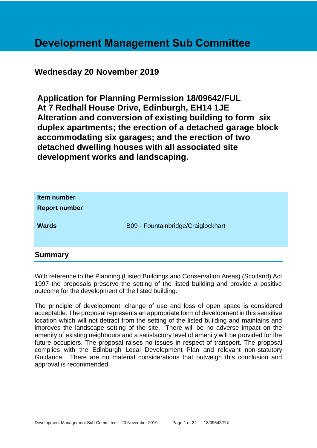# **Development Management Sub Committee**

# **Wednesday 20 November 2019**

**Application for Planning Permission 18/09642/FUL At 7 Redhall House Drive, Edinburgh, EH14 1JE Alteration and conversion of existing building to form six duplex apartments; the erection of a detached garage block accommodating six garages; and the erection of two detached dwelling houses with all associated site development works and landscaping.**

| Item number<br><b>Report number</b><br><b>Wards</b> | B09 - Fountainbridge/Craiglockhart |
|-----------------------------------------------------|------------------------------------|
| <b>Summary</b>                                      |                                    |

With reference to the Planning (Listed Buildings and Conservation Areas) (Scotland) Act 1997 the proposals preserve the setting of the listed building and provide a positive outcome for the development of the listed building.

The principle of development, change of use and loss of open space is considered acceptable. The proposal represents an appropriate form of development in this sensitive location which will not detract from the setting of the listed building and maintains and improves the landscape setting of the site. There will be no adverse impact on the amenity of existing neighbours and a satisfactory level of amenity will be provided for the future occupiers. The proposal raises no issues in respect of transport. The proposal complies with the Edinburgh Local Development Plan and relevant non-statutory Guidance. There are no material considerations that outweigh this conclusion and approval is recommended.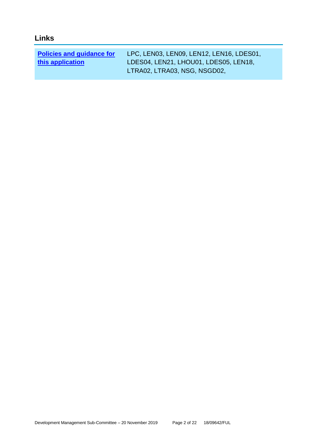# **Links**

| <b>Policies and guidance for</b> | LPC, LEN03, LEN09, LEN12, LEN16, LDES01, |
|----------------------------------|------------------------------------------|
| this application                 | LDES04, LEN21, LHOU01, LDES05, LEN18,    |
|                                  | LTRA02, LTRA03, NSG, NSGD02,             |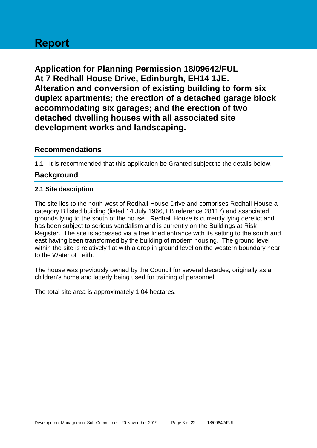# **Report**

**Application for Planning Permission 18/09642/FUL At 7 Redhall House Drive, Edinburgh, EH14 1JE. Alteration and conversion of existing building to form six duplex apartments; the erection of a detached garage block accommodating six garages; and the erection of two detached dwelling houses with all associated site development works and landscaping.**

# **Recommendations**

**1.1** It is recommended that this application be Granted subject to the details below.

# **Background**

#### **2.1 Site description**

The site lies to the north west of Redhall House Drive and comprises Redhall House a category B listed building (listed 14 July 1966, LB reference 28117) and associated grounds lying to the south of the house. Redhall House is currently lying derelict and has been subject to serious vandalism and is currently on the Buildings at Risk Register. The site is accessed via a tree lined entrance with its setting to the south and east having been transformed by the building of modern housing. The ground level within the site is relatively flat with a drop in ground level on the western boundary near to the Water of Leith.

The house was previously owned by the Council for several decades, originally as a children's home and latterly being used for training of personnel.

The total site area is approximately 1.04 hectares.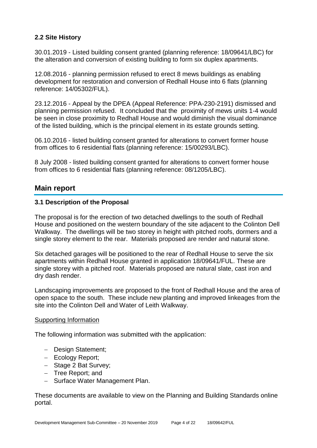### **2.2 Site History**

30.01.2019 - Listed building consent granted (planning reference: 18/09641/LBC) for the alteration and conversion of existing building to form six duplex apartments.

12.08.2016 - planning permission refused to erect 8 mews buildings as enabling development for restoration and conversion of Redhall House into 6 flats (planning reference: 14/05302/FUL).

23.12.2016 - Appeal by the DPEA (Appeal Reference: PPA-230-2191) dismissed and planning permission refused. It concluded that the proximity of mews units 1-4 would be seen in close proximity to Redhall House and would diminish the visual dominance of the listed building, which is the principal element in its estate grounds setting.

06.10.2016 - listed building consent granted for alterations to convert former house from offices to 6 residential flats (planning reference: 15/00293/LBC).

8 July 2008 - listed building consent granted for alterations to convert former house from offices to 6 residential flats (planning reference: 08/1205/LBC).

# **Main report**

#### **3.1 Description of the Proposal**

The proposal is for the erection of two detached dwellings to the south of Redhall House and positioned on the western boundary of the site adjacent to the Colinton Dell Walkway. The dwellings will be two storey in height with pitched roofs, dormers and a single storey element to the rear. Materials proposed are render and natural stone.

Six detached garages will be positioned to the rear of Redhall House to serve the six apartments within Redhall House granted in application 18/09641/FUL. These are single storey with a pitched roof. Materials proposed are natural slate, cast iron and dry dash render.

Landscaping improvements are proposed to the front of Redhall House and the area of open space to the south. These include new planting and improved linkeages from the site into the Colinton Dell and Water of Leith Walkway.

#### Supporting Information

The following information was submitted with the application:

- − Design Statement;
- − Ecology Report;
- − Stage 2 Bat Survey;
- − Tree Report; and
- − Surface Water Management Plan.

These documents are available to view on the Planning and Building Standards online portal.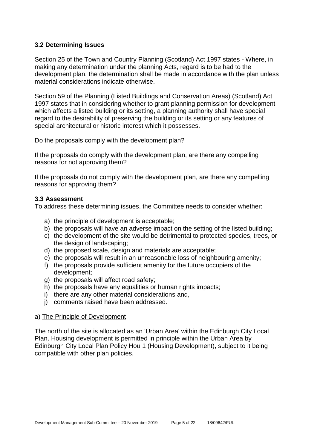#### **3.2 Determining Issues**

Section 25 of the Town and Country Planning (Scotland) Act 1997 states - Where, in making any determination under the planning Acts, regard is to be had to the development plan, the determination shall be made in accordance with the plan unless material considerations indicate otherwise.

Section 59 of the Planning (Listed Buildings and Conservation Areas) (Scotland) Act 1997 states that in considering whether to grant planning permission for development which affects a listed building or its setting, a planning authority shall have special regard to the desirability of preserving the building or its setting or any features of special architectural or historic interest which it possesses.

Do the proposals comply with the development plan?

If the proposals do comply with the development plan, are there any compelling reasons for not approving them?

If the proposals do not comply with the development plan, are there any compelling reasons for approving them?

#### **3.3 Assessment**

To address these determining issues, the Committee needs to consider whether:

- a) the principle of development is acceptable;
- b) the proposals will have an adverse impact on the setting of the listed building;
- c) the development of the site would be detrimental to protected species, trees, or the design of landscaping;
- d) the proposed scale, design and materials are acceptable;
- e) the proposals will result in an unreasonable loss of neighbouring amenity;
- f) the proposals provide sufficient amenity for the future occupiers of the development;
- g) the proposals will affect road safety;
- h) the proposals have any equalities or human rights impacts;
- i) there are any other material considerations and,
- j) comments raised have been addressed.

#### a) The Principle of Development

The north of the site is allocated as an 'Urban Area' within the Edinburgh City Local Plan. Housing development is permitted in principle within the Urban Area by Edinburgh City Local Plan Policy Hou 1 (Housing Development), subject to it being compatible with other plan policies.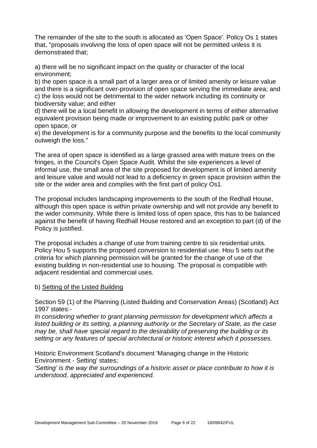The remainder of the site to the south is allocated as 'Open Space'. Policy Os 1 states that, "proposals involving the loss of open space will not be permitted unless it is demonstrated that;

a) there will be no significant impact on the quality or character of the local environment;

b) the open space is a small part of a larger area or of limited amenity or leisure value and there is a significant over-provision of open space serving the immediate area; and c) the loss would not be detrimental to the wider network including its continuity or biodiversity value; and either

d) there will be a local benefit in allowing the development in terms of either alternative equivalent provision being made or improvement to an existing public park or other open space, or

e) the development is for a community purpose and the benefits to the local community outweigh the loss."

The area of open space is identified as a large grassed area with mature trees on the fringes, in the Council's Open Space Audit. Whilst the site experiences a level of informal use, the small area of the site proposed for development is of limited amenity and leisure value and would not lead to a deficiency in green space provision within the site or the wider area and complies with the first part of policy Os1.

The proposal includes landscaping improvements to the south of the Redhall House, although this open space is within private ownership and will not provide any benefit to the wider community. While there is limited loss of open space, this has to be balanced against the benefit of having Redhall House restored and an exception to part (d) of the Policy is justified.

The proposal includes a change of use from training centre to six residential units. Policy Hou 5 supports the proposed conversion to residential use. Hou 5 sets out the criteria for which planning permission will be granted for the change of use of the existing building in non-residential use to housing. The proposal is compatible with adjacent residential and commercial uses.

#### b) Setting of the Listed Building

Section 59 (1) of the Planning (Listed Building and Conservation Areas) (Scotland) Act 1997 states:-

*In considering whether to grant planning permission for development which affects a listed building or its setting, a planning authority or the Secretary of State, as the case may be, shall have special regard to the desirability of preserving the building or its setting or any features of special architectural or historic interest which it possesses.*

Historic Environment Scotland's document 'Managing change in the Historic Environment - Setting' states;

*'Setting' is the way the surroundings of a historic asset or place contribute to how it is understood, appreciated and experienced.*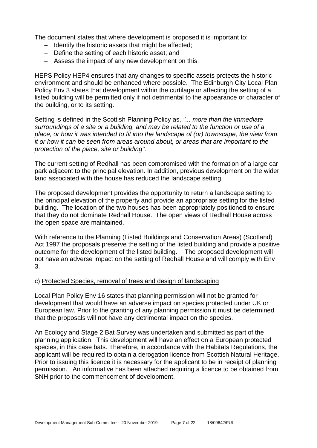The document states that where development is proposed it is important to:

- − Identify the historic assets that might be affected;
- − Define the setting of each historic asset; and
- − Assess the impact of any new development on this.

HEPS Policy HEP4 ensures that any changes to specific assets protects the historic environment and should be enhanced where possible. The Edinburgh City Local Plan Policy Env 3 states that development within the curtilage or affecting the setting of a listed building will be permitted only if not detrimental to the appearance or character of the building, or to its setting.

Setting is defined in the Scottish Planning Policy as, *"... more than the immediate surroundings of a site or a building, and may be related to the function or use of a place, or how it was intended to fit into the landscape of (or) townscape, the view from it or how it can be seen from areas around about, or areas that are important to the protection of the place, site or building".*

The current setting of Redhall has been compromised with the formation of a large car park adjacent to the principal elevation. In addition, previous development on the wider land associated with the house has reduced the landscape setting.

The proposed development provides the opportunity to return a landscape setting to the principal elevation of the property and provide an appropriate setting for the listed building. The location of the two houses has been appropriately positioned to ensure that they do not dominate Redhall House. The open views of Redhall House across the open space are maintained.

With reference to the Planning (Listed Buildings and Conservation Areas) (Scotland) Act 1997 the proposals preserve the setting of the listed building and provide a positive outcome for the development of the listed building. The proposed development will not have an adverse impact on the setting of Redhall House and will comply with Env 3.

#### c) Protected Species, removal of trees and design of landscaping

Local Plan Policy Env 16 states that planning permission will not be granted for development that would have an adverse impact on species protected under UK or European law. Prior to the granting of any planning permission it must be determined that the proposals will not have any detrimental impact on the species.

An Ecology and Stage 2 Bat Survey was undertaken and submitted as part of the planning application. This development will have an effect on a European protected species, in this case bats. Therefore, in accordance with the Habitats Regulations, the applicant will be required to obtain a derogation licence from Scottish Natural Heritage. Prior to issuing this licence it is necessary for the applicant to be in receipt of planning permission. An informative has been attached requiring a licence to be obtained from SNH prior to the commencement of development.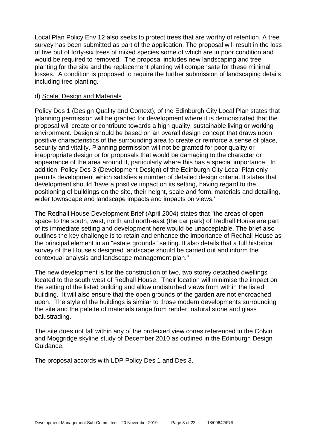Local Plan Policy Env 12 also seeks to protect trees that are worthy of retention. A tree survey has been submitted as part of the application. The proposal will result in the loss of five out of forty-six trees of mixed species some of which are in poor condition and would be required to removed. The proposal includes new landscaping and tree planting for the site and the replacement planting will compensate for these minimal losses. A condition is proposed to require the further submission of landscaping details including tree planting.

#### d) Scale, Design and Materials

Policy Des 1 (Design Quality and Context), of the Edinburgh City Local Plan states that 'planning permission will be granted for development where it is demonstrated that the proposal will create or contribute towards a high quality, sustainable living or working environment. Design should be based on an overall design concept that draws upon positive characteristics of the surrounding area to create or reinforce a sense of place, security and vitality. Planning permission will not be granted for poor quality or inappropriate design or for proposals that would be damaging to the character or appearance of the area around it, particularly where this has a special importance. In addition, Policy Des 3 (Development Design) of the Edinburgh City Local Plan only permits development which satisfies a number of detailed design criteria. It states that development should 'have a positive impact on its setting, having regard to the positioning of buildings on the site, their height, scale and form, materials and detailing, wider townscape and landscape impacts and impacts on views.'

The Redhall House Development Brief (April 2004) states that "the areas of open space to the south, west, north and north-east (the car park) of Redhall House are part of its immediate setting and development here would be unacceptable. The brief also outlines the key challenge is to retain and enhance the importance of Redhall House as the principal element in an "estate grounds" setting. It also details that a full historical survey of the House's designed landscape should be carried out and inform the contextual analysis and landscape management plan."

The new development is for the construction of two, two storey detached dwellings located to the south west of Redhall House. Their location will minimise the impact on the setting of the listed building and allow undisturbed views from within the listed building. It will also ensure that the open grounds of the garden are not encroached upon. The style of the buildings is similar to those modern developments surrounding the site and the palette of materials range from render, natural stone and glass balustrading.

The site does not fall within any of the protected view cones referenced in the Colvin and Moggridge skyline study of December 2010 as outlined in the Edinburgh Design Guidance.

The proposal accords with LDP Policy Des 1 and Des 3.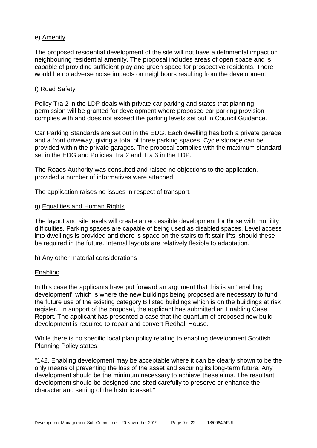#### e) Amenity

The proposed residential development of the site will not have a detrimental impact on neighbouring residential amenity. The proposal includes areas of open space and is capable of providing sufficient play and green space for prospective residents. There would be no adverse noise impacts on neighbours resulting from the development.

#### f) Road Safety

Policy Tra 2 in the LDP deals with private car parking and states that planning permission will be granted for development where proposed car parking provision complies with and does not exceed the parking levels set out in Council Guidance.

Car Parking Standards are set out in the EDG. Each dwelling has both a private garage and a front driveway, giving a total of three parking spaces. Cycle storage can be provided within the private garages. The proposal complies with the maximum standard set in the EDG and Policies Tra 2 and Tra 3 in the LDP.

The Roads Authority was consulted and raised no objections to the application, provided a number of informatives were attached.

The application raises no issues in respect of transport.

#### g) Equalities and Human Rights

The layout and site levels will create an accessible development for those with mobility difficulties. Parking spaces are capable of being used as disabled spaces. Level access into dwellings is provided and there is space on the stairs to fit stair lifts, should these be required in the future. Internal layouts are relatively flexible to adaptation.

#### h) Any other material considerations

#### Enabling

In this case the applicants have put forward an argument that this is an "enabling development" which is where the new buildings being proposed are necessary to fund the future use of the existing category B listed buildings which is on the buildings at risk register. In support of the proposal, the applicant has submitted an Enabling Case Report. The applicant has presented a case that the quantum of proposed new build development is required to repair and convert Redhall House.

While there is no specific local plan policy relating to enabling development Scottish Planning Policy states:

"142. Enabling development may be acceptable where it can be clearly shown to be the only means of preventing the loss of the asset and securing its long-term future. Any development should be the minimum necessary to achieve these aims. The resultant development should be designed and sited carefully to preserve or enhance the character and setting of the historic asset."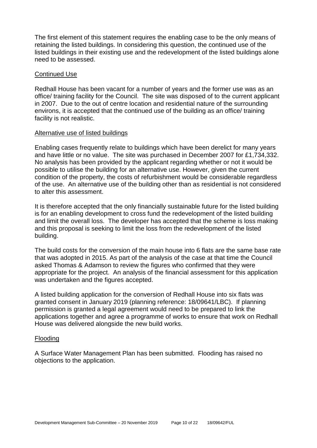The first element of this statement requires the enabling case to be the only means of retaining the listed buildings. In considering this question, the continued use of the listed buildings in their existing use and the redevelopment of the listed buildings alone need to be assessed.

#### Continued Use

Redhall House has been vacant for a number of years and the former use was as an office/ training facility for the Council. The site was disposed of to the current applicant in 2007. Due to the out of centre location and residential nature of the surrounding environs, it is accepted that the continued use of the building as an office/ training facility is not realistic.

#### Alternative use of listed buildings

Enabling cases frequently relate to buildings which have been derelict for many years and have little or no value. The site was purchased in December 2007 for £1,734,332. No analysis has been provided by the applicant regarding whether or not it would be possible to utilise the building for an alternative use. However, given the current condition of the property, the costs of refurbishment would be considerable regardless of the use. An alternative use of the building other than as residential is not considered to alter this assessment.

It is therefore accepted that the only financially sustainable future for the listed building is for an enabling development to cross fund the redevelopment of the listed building and limit the overall loss. The developer has accepted that the scheme is loss making and this proposal is seeking to limit the loss from the redevelopment of the listed building.

The build costs for the conversion of the main house into 6 flats are the same base rate that was adopted in 2015. As part of the analysis of the case at that time the Council asked Thomas & Adamson to review the figures who confirmed that they were appropriate for the project. An analysis of the financial assessment for this application was undertaken and the figures accepted.

A listed building application for the conversion of Redhall House into six flats was granted consent in January 2019 (planning reference: 18/09641/LBC). If planning permission is granted a legal agreement would need to be prepared to link the applications together and agree a programme of works to ensure that work on Redhall House was delivered alongside the new build works.

#### Flooding

A Surface Water Management Plan has been submitted. Flooding has raised no objections to the application.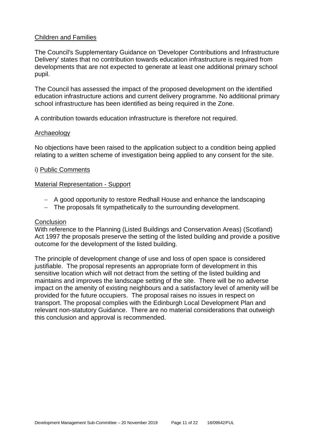#### Children and Families

The Council's Supplementary Guidance on 'Developer Contributions and Infrastructure Delivery' states that no contribution towards education infrastructure is required from developments that are not expected to generate at least one additional primary school pupil.

The Council has assessed the impact of the proposed development on the identified education infrastructure actions and current delivery programme. No additional primary school infrastructure has been identified as being required in the Zone.

A contribution towards education infrastructure is therefore not required.

#### Archaeology

No objections have been raised to the application subject to a condition being applied relating to a written scheme of investigation being applied to any consent for the site.

#### i) Public Comments

#### Material Representation - Support

- − A good opportunity to restore Redhall House and enhance the landscaping
- − The proposals fit sympathetically to the surrounding development.

#### **Conclusion**

With reference to the Planning (Listed Buildings and Conservation Areas) (Scotland) Act 1997 the proposals preserve the setting of the listed building and provide a positive outcome for the development of the listed building.

The principle of development change of use and loss of open space is considered justifiable. The proposal represents an appropriate form of development in this sensitive location which will not detract from the setting of the listed building and maintains and improves the landscape setting of the site. There will be no adverse impact on the amenity of existing neighbours and a satisfactory level of amenity will be provided for the future occupiers. The proposal raises no issues in respect on transport. The proposal complies with the Edinburgh Local Development Plan and relevant non-statutory Guidance. There are no material considerations that outweigh this conclusion and approval is recommended.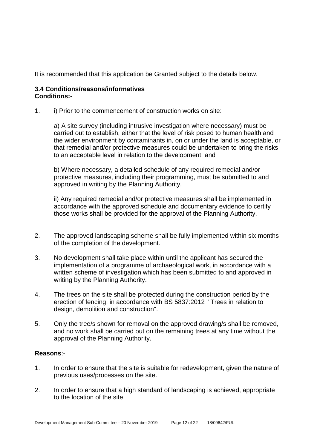It is recommended that this application be Granted subject to the details below.

#### **3.4 Conditions/reasons/informatives Conditions:-**

1. i) Prior to the commencement of construction works on site:

a) A site survey (including intrusive investigation where necessary) must be carried out to establish, either that the level of risk posed to human health and the wider environment by contaminants in, on or under the land is acceptable, or that remedial and/or protective measures could be undertaken to bring the risks to an acceptable level in relation to the development; and

b) Where necessary, a detailed schedule of any required remedial and/or protective measures, including their programming, must be submitted to and approved in writing by the Planning Authority.

ii) Any required remedial and/or protective measures shall be implemented in accordance with the approved schedule and documentary evidence to certify those works shall be provided for the approval of the Planning Authority.

- 2. The approved landscaping scheme shall be fully implemented within six months of the completion of the development.
- 3. No development shall take place within until the applicant has secured the implementation of a programme of archaeological work, in accordance with a written scheme of investigation which has been submitted to and approved in writing by the Planning Authority.
- 4. The trees on the site shall be protected during the construction period by the erection of fencing, in accordance with BS 5837:2012 " Trees in relation to design, demolition and construction".
- 5. Only the tree/s shown for removal on the approved drawing/s shall be removed, and no work shall be carried out on the remaining trees at any time without the approval of the Planning Authority.

#### **Reasons**:-

- 1. In order to ensure that the site is suitable for redevelopment, given the nature of previous uses/processes on the site.
- 2. In order to ensure that a high standard of landscaping is achieved, appropriate to the location of the site.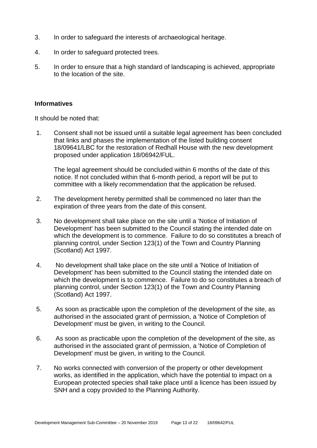- 3. In order to safeguard the interests of archaeological heritage.
- 4. In order to safeguard protected trees.
- 5. In order to ensure that a high standard of landscaping is achieved, appropriate to the location of the site.

#### **Informatives**

It should be noted that:

1. Consent shall not be issued until a suitable legal agreement has been concluded that links and phases the implementation of the listed building consent 18/09641/LBC for the restoration of Redhall House with the new development proposed under application 18/06942/FUL.

The legal agreement should be concluded within 6 months of the date of this notice. If not concluded within that 6-month period, a report will be put to committee with a likely recommendation that the application be refused.

- 2. The development hereby permitted shall be commenced no later than the expiration of three years from the date of this consent.
- 3. No development shall take place on the site until a 'Notice of Initiation of Development' has been submitted to the Council stating the intended date on which the development is to commence. Failure to do so constitutes a breach of planning control, under Section 123(1) of the Town and Country Planning (Scotland) Act 1997.
- 4. No development shall take place on the site until a 'Notice of Initiation of Development' has been submitted to the Council stating the intended date on which the development is to commence. Failure to do so constitutes a breach of planning control, under Section 123(1) of the Town and Country Planning (Scotland) Act 1997.
- 5. As soon as practicable upon the completion of the development of the site, as authorised in the associated grant of permission, a 'Notice of Completion of Development' must be given, in writing to the Council.
- 6. As soon as practicable upon the completion of the development of the site, as authorised in the associated grant of permission, a 'Notice of Completion of Development' must be given, in writing to the Council.
- 7. No works connected with conversion of the property or other development works, as identified in the application, which have the potential to impact on a European protected species shall take place until a licence has been issued by SNH and a copy provided to the Planning Authority.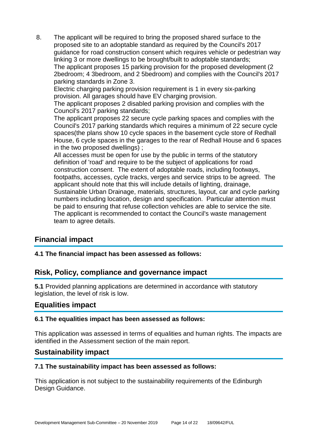8. The applicant will be required to bring the proposed shared surface to the proposed site to an adoptable standard as required by the Council's 2017 guidance for road construction consent which requires vehicle or pedestrian way linking 3 or more dwellings to be brought/built to adoptable standards; The applicant proposes 15 parking provision for the proposed development (2 2bedroom; 4 3bedroom, and 2 5bedroom) and complies with the Council's 2017 parking standards in Zone 3. Electric charging parking provision requirement is 1 in every six-parking provision. All garages should have EV charging provision. The applicant proposes 2 disabled parking provision and complies with the Council's 2017 parking standards; The applicant proposes 22 secure cycle parking spaces and complies with the Council's 2017 parking standards which requires a minimum of 22 secure cycle spaces(the plans show 10 cycle spaces in the basement cycle store of Redhall House, 6 cycle spaces in the garages to the rear of Redhall House and 6 spaces in the two proposed dwellings) ; All accesses must be open for use by the public in terms of the statutory definition of 'road' and require to be the subject of applications for road construction consent. The extent of adoptable roads, including footways, footpaths, accesses, cycle tracks, verges and service strips to be agreed. The applicant should note that this will include details of lighting, drainage, Sustainable Urban Drainage, materials, structures, layout, car and cycle parking numbers including location, design and specification. Particular attention must be paid to ensuring that refuse collection vehicles are able to service the site. The applicant is recommended to contact the Council's waste management

team to agree details.

# **Financial impact**

**4.1 The financial impact has been assessed as follows:**

# **Risk, Policy, compliance and governance impact**

**5.1** Provided planning applications are determined in accordance with statutory legislation, the level of risk is low.

# **Equalities impact**

#### **6.1 The equalities impact has been assessed as follows:**

This application was assessed in terms of equalities and human rights. The impacts are identified in the Assessment section of the main report.

# **Sustainability impact**

#### **7.1 The sustainability impact has been assessed as follows:**

This application is not subject to the sustainability requirements of the Edinburgh Design Guidance.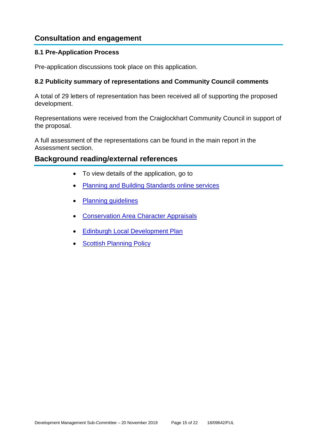# **Consultation and engagement**

#### **8.1 Pre-Application Process**

Pre-application discussions took place on this application.

#### **8.2 Publicity summary of representations and Community Council comments**

A total of 29 letters of representation has been received all of supporting the proposed development.

Representations were received from the Craiglockhart Community Council in support of the proposal.

A full assessment of the representations can be found in the main report in the Assessment section.

#### **Background reading/external references**

- To view details of the application, go to
- [Planning and Building Standards online services](https://citydev-portal.edinburgh.gov.uk/idoxpa-web/search.do?action=simple&searchType=Application)
- [Planning guidelines](http://www.edinburgh.gov.uk/planningguidelines)
- [Conservation Area Character Appraisals](http://www.edinburgh.gov.uk/characterappraisals)
- [Edinburgh Local Development Plan](http://www.edinburgh.gov.uk/localdevelopmentplan)
- **[Scottish Planning Policy](http://www.scotland.gov.uk/Topics/Built-Environment/planning/Policy)**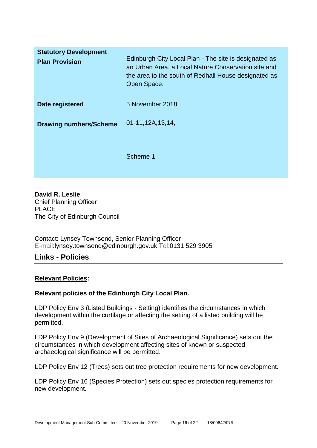| <b>Statutory Development</b><br><b>Plan Provision</b> | Edinburgh City Local Plan - The site is designated as<br>an Urban Area, a Local Nature Conservation site and<br>the area to the south of Redhall House designated as<br>Open Space. |
|-------------------------------------------------------|-------------------------------------------------------------------------------------------------------------------------------------------------------------------------------------|
| Date registered                                       | 5 November 2018                                                                                                                                                                     |
| <b>Drawing numbers/Scheme</b>                         | 01-11,12A,13,14,                                                                                                                                                                    |
|                                                       | Scheme 1                                                                                                                                                                            |

**David R. Leslie** Chief Planning Officer PLACE The City of Edinburgh Council

Contact: Lynsey Townsend, Senior Planning Officer E-mail:lynsey.townsend@edinburgh.gov.uk Tel:0131 529 3905

# **Links - Policies**

#### **Relevant Policies:**

#### **Relevant policies of the Edinburgh City Local Plan.**

LDP Policy Env 3 (Listed Buildings - Setting) identifies the circumstances in which development within the curtilage or affecting the setting of a listed building will be permitted.

LDP Policy Env 9 (Development of Sites of Archaeological Significance) sets out the circumstances in which development affecting sites of known or suspected archaeological significance will be permitted.

LDP Policy Env 12 (Trees) sets out tree protection requirements for new development.

LDP Policy Env 16 (Species Protection) sets out species protection requirements for new development.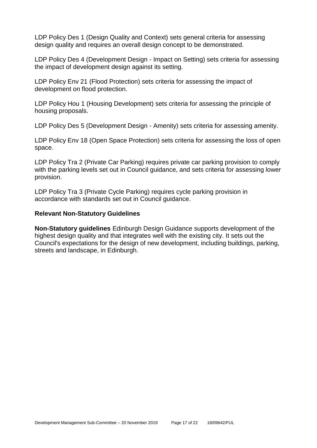LDP Policy Des 1 (Design Quality and Context) sets general criteria for assessing design quality and requires an overall design concept to be demonstrated.

LDP Policy Des 4 (Development Design - Impact on Setting) sets criteria for assessing the impact of development design against its setting.

LDP Policy Env 21 (Flood Protection) sets criteria for assessing the impact of development on flood protection.

LDP Policy Hou 1 (Housing Development) sets criteria for assessing the principle of housing proposals.

LDP Policy Des 5 (Development Design - Amenity) sets criteria for assessing amenity.

LDP Policy Env 18 (Open Space Protection) sets criteria for assessing the loss of open space.

LDP Policy Tra 2 (Private Car Parking) requires private car parking provision to comply with the parking levels set out in Council guidance, and sets criteria for assessing lower provision.

LDP Policy Tra 3 (Private Cycle Parking) requires cycle parking provision in accordance with standards set out in Council guidance.

#### **Relevant Non-Statutory Guidelines**

**Non-Statutory guidelines** Edinburgh Design Guidance supports development of the highest design quality and that integrates well with the existing city. It sets out the Council's expectations for the design of new development, including buildings, parking, streets and landscape, in Edinburgh.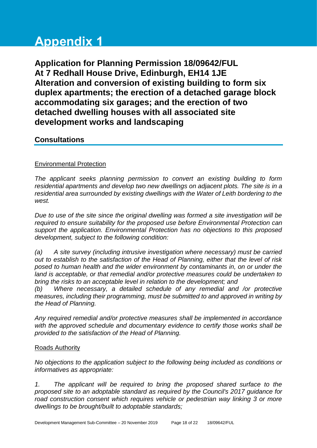# **Appendix 1**

**Application for Planning Permission 18/09642/FUL At 7 Redhall House Drive, Edinburgh, EH14 1JE Alteration and conversion of existing building to form six duplex apartments; the erection of a detached garage block accommodating six garages; and the erection of two detached dwelling houses with all associated site development works and landscaping**

# **Consultations**

#### Environmental Protection

*The applicant seeks planning permission to convert an existing building to form residential apartments and develop two new dwellings on adjacent plots. The site is in a residential area surrounded by existing dwellings with the Water of Leith bordering to the west.*

*Due to use of the site since the original dwelling was formed a site investigation will be required to ensure suitability for the proposed use before Environmental Protection can support the application. Environmental Protection has no objections to this proposed development, subject to the following condition:*

*(a) A site survey (including intrusive investigation where necessary) must be carried out to establish to the satisfaction of the Head of Planning, either that the level of risk posed to human health and the wider environment by contaminants in, on or under the*  land is acceptable, or that remedial and/or protective measures could be undertaken to *bring the risks to an acceptable level in relation to the development; and*

*(b) Where necessary, a detailed schedule of any remedial and /or protective measures, including their programming, must be submitted to and approved in writing by the Head of Planning.*

*Any required remedial and/or protective measures shall be implemented in accordance with the approved schedule and documentary evidence to certify those works shall be provided to the satisfaction of the Head of Planning.*

#### Roads Authority

*No objections to the application subject to the following being included as conditions or informatives as appropriate:*

*1. The applicant will be required to bring the proposed shared surface to the proposed site to an adoptable standard as required by the Council's 2017 guidance for road construction consent which requires vehicle or pedestrian way linking 3 or more dwellings to be brought/built to adoptable standards;*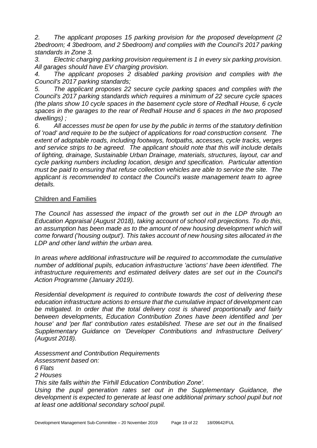*2. The applicant proposes 15 parking provision for the proposed development (2 2bedroom; 4 3bedroom, and 2 5bedroom) and complies with the Council's 2017 parking standards in Zone 3.*

*3. Electric charging parking provision requirement is 1 in every six parking provision. All garages should have EV charging provision.* 

*4. The applicant proposes 2 disabled parking provision and complies with the Council's 2017 parking standards;*

*5. The applicant proposes 22 secure cycle parking spaces and complies with the Council's 2017 parking standards which requires a minimum of 22 secure cycle spaces (the plans show 10 cycle spaces in the basement cycle store of Redhall House, 6 cycle spaces in the garages to the rear of Redhall House and 6 spaces in the two proposed dwellings) ;*

*6. All accesses must be open for use by the public in terms of the statutory definition of 'road' and require to be the subject of applications for road construction consent. The extent of adoptable roads, including footways, footpaths, accesses, cycle tracks, verges and service strips to be agreed. The applicant should note that this will include details of lighting, drainage, Sustainable Urban Drainage, materials, structures, layout, car and cycle parking numbers including location, design and specification. Particular attention must be paid to ensuring that refuse collection vehicles are able to service the site. The applicant is recommended to contact the Council's waste management team to agree details.*

#### Children and Families

*The Council has assessed the impact of the growth set out in the LDP through an Education Appraisal (August 2018), taking account of school roll projections. To do this, an assumption has been made as to the amount of new housing development which will come forward ('housing output'). This takes account of new housing sites allocated in the LDP and other land within the urban area.*

*In areas where additional infrastructure will be required to accommodate the cumulative number of additional pupils, education infrastructure 'actions' have been identified. The infrastructure requirements and estimated delivery dates are set out in the Council's Action Programme (January 2019).*

*Residential development is required to contribute towards the cost of delivering these education infrastructure actions to ensure that the cumulative impact of development can be mitigated. In order that the total delivery cost is shared proportionally and fairly between developments, Education Contribution Zones have been identified and 'per house' and 'per flat' contribution rates established. These are set out in the finalised Supplementary Guidance on 'Developer Contributions and Infrastructure Delivery' (August 2018).* 

*Assessment and Contribution Requirements Assessment based on: 6 Flats 2 Houses This site falls within the 'Firhill Education Contribution Zone'. Using the pupil generation rates set out in the Supplementary Guidance, the development is expected to generate at least one additional primary school pupil but not at least one additional secondary school pupil.*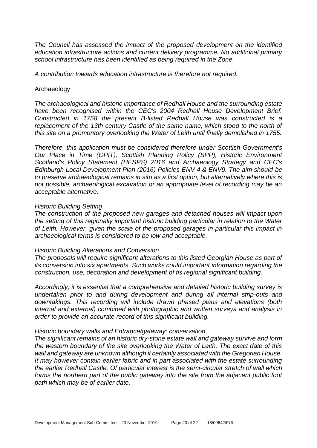*The Council has assessed the impact of the proposed development on the identified education infrastructure actions and current delivery programme. No additional primary school infrastructure has been identified as being required in the Zone.*

*A contribution towards education infrastructure is therefore not required.*

#### Archaeology

*The archaeological and historic importance of Redhall House and the surrounding estate have been recognised within the CEC's 2004 Redhall House Development Brief. Constructed in 1758 the present B-listed Redhall House was constructed is a*  replacement of the 13th century Castle of the same name, which stood to the north of *this site on a promontory overlooking the Water of Leith until finally demolished in 1755.*

*Therefore, this application must be considered therefore under Scottish Government's Our Place in Time (OPIT), Scottish Planning Policy (SPP), Historic Environment Scotland's Policy Statement (HESPS) 2016 and Archaeology Strategy and CEC's Edinburgh Local Development Plan (2016) Policies ENV 4 & ENV9. The aim should be to preserve archaeological remains in situ as a first option, but alternatively where this is not possible, archaeological excavation or an appropriate level of recording may be an acceptable alternative.*

#### *Historic Building Setting*

*The construction of the proposed new garages and detached houses will impact upon the setting of this regionally important historic building particular in relation to the Water of Leith. However, given the scale of the proposed garages in particular this impact in archaeological terms is considered to be low and acceptable.*

#### *Historic Building Alterations and Conversion*

*The proposals will require significant alterations to this listed Georgian House as part of its conversion into six apartments. Such works could important information regarding the construction, use, decoration and development of tis regional significant building.*

*Accordingly, it is essential that a comprehensive and detailed historic building survey is undertaken prior to and during development and during all internal strip-outs and downtakings. This recording will include drawn phased plans and elevations (both internal and external) combined with photographic and written surveys and analysis in order to provide an accurate record of this significant building.* 

#### *Historic boundary walls and Entrance/gateway: conservation*

*The significant remains of an historic dry-stone estate wall and gateway survive and form the western boundary of the site overlooking the Water of Leith. The exact date of this wall and gateway are unknown although it certainly associated with the Gregorian House. It may however contain earlier fabric and in part associated with the estate surrounding the earlier Redhall Castle. Of particular interest is the semi-circular stretch of wall which forms the northern part of the public gateway into the site from the adjacent public foot path which may be of earlier date.*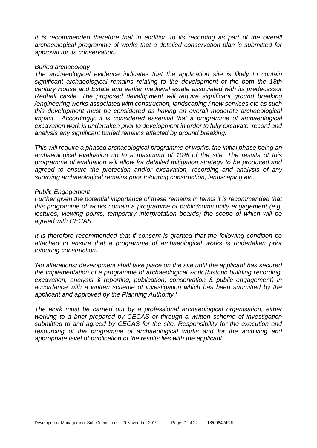It is recommended therefore that in addition to its recording as part of the overall *archaeological programme of works that a detailed conservation plan is submitted for approval for its conservation.* 

#### *Buried archaeology*

*The archaeological evidence indicates that the application site is likely to contain significant archaeological remains relating to the development of the both the 18th century House and Estate and earlier medieval estate associated with its predecessor Redhall castle. The proposed development will require significant ground breaking /engineering works associated with construction, landscaping / new services etc as such this development must be considered as having an overall moderate archaeological impact. Accordingly, it is considered essential that a programme of archaeological excavation work is undertaken prior to development in order to fully excavate, record and analysis any significant buried remains affected by ground breaking.* 

*This will require a phased archaeological programme of works, the initial phase being an archaeological evaluation up to a maximum of 10% of the site. The results of this programme of evaluation will allow for detailed mitigation strategy to be produced and agreed to ensure the protection and/or excavation, recording and analysis of any surviving archaeological remains prior to/during construction, landscaping etc.* 

#### *Public Engagement*

*Further given the potential importance of these remains in terms it is recommended that this programme of works contain a programme of public/community engagement (e.g. lectures, viewing points, temporary interpretation boards) the scope of which will be agreed with CECAS.*

*It is therefore recommended that if consent is granted that the following condition be attached to ensure that a programme of archaeological works is undertaken prior to/during construction.* 

*'No alterations/ development shall take place on the site until the applicant has secured the implementation of a programme of archaeological work (historic building recording, excavation, analysis & reporting, publication, conservation & public engagement) in accordance with a written scheme of investigation which has been submitted by the applicant and approved by the Planning Authority.'* 

*The work must be carried out by a professional archaeological organisation, either working to a brief prepared by CECAS or through a written scheme of investigation submitted to and agreed by CECAS for the site. Responsibility for the execution and resourcing of the programme of archaeological works and for the archiving and appropriate level of publication of the results lies with the applicant.*